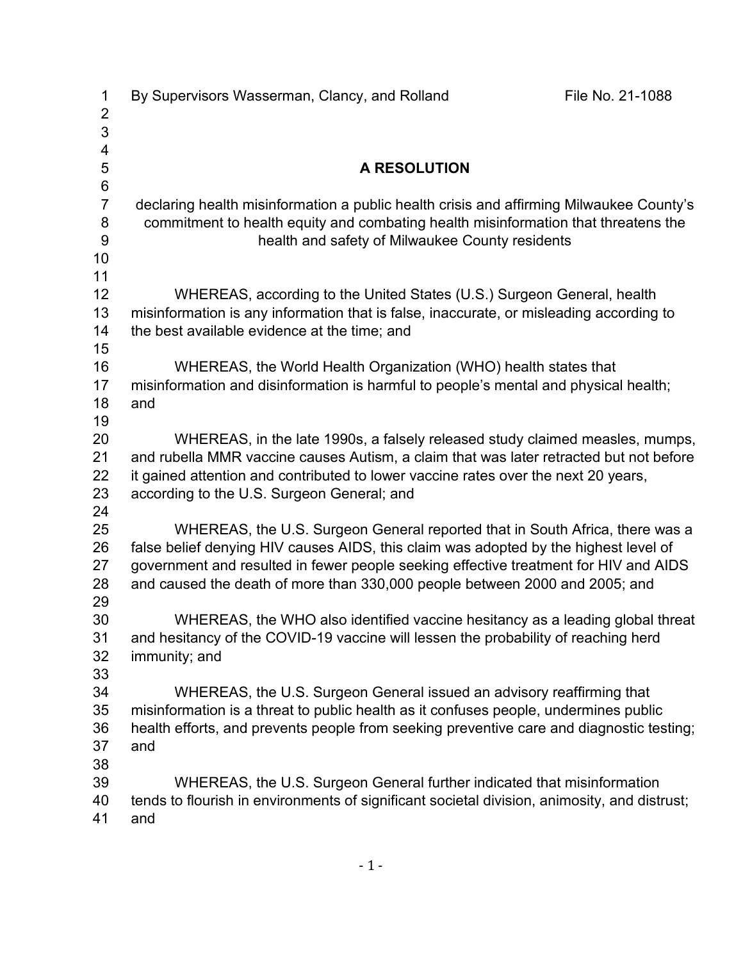| $\mathbf 1$<br>$\overline{2}$ | By Supervisors Wasserman, Clancy, and Rolland                                                | File No. 21-1088 |
|-------------------------------|----------------------------------------------------------------------------------------------|------------------|
| 3                             |                                                                                              |                  |
| $\overline{\mathbf{4}}$       |                                                                                              |                  |
| 5<br>$\,6$                    | A RESOLUTION                                                                                 |                  |
| $\overline{7}$                | declaring health misinformation a public health crisis and affirming Milwaukee County's      |                  |
| 8                             | commitment to health equity and combating health misinformation that threatens the           |                  |
| 9                             | health and safety of Milwaukee County residents                                              |                  |
| 10                            |                                                                                              |                  |
| 11                            |                                                                                              |                  |
| 12                            | WHEREAS, according to the United States (U.S.) Surgeon General, health                       |                  |
| 13                            | misinformation is any information that is false, inaccurate, or misleading according to      |                  |
| 14<br>15                      | the best available evidence at the time; and                                                 |                  |
| 16                            | WHEREAS, the World Health Organization (WHO) health states that                              |                  |
| 17                            | misinformation and disinformation is harmful to people's mental and physical health;         |                  |
| 18                            | and                                                                                          |                  |
| 19                            |                                                                                              |                  |
| 20                            | WHEREAS, in the late 1990s, a falsely released study claimed measles, mumps,                 |                  |
| 21                            | and rubella MMR vaccine causes Autism, a claim that was later retracted but not before       |                  |
| 22                            | it gained attention and contributed to lower vaccine rates over the next 20 years,           |                  |
| 23<br>24                      | according to the U.S. Surgeon General; and                                                   |                  |
| 25                            | WHEREAS, the U.S. Surgeon General reported that in South Africa, there was a                 |                  |
| 26                            | false belief denying HIV causes AIDS, this claim was adopted by the highest level of         |                  |
| 27                            | government and resulted in fewer people seeking effective treatment for HIV and AIDS         |                  |
| 28                            | and caused the death of more than 330,000 people between 2000 and 2005; and                  |                  |
| 29                            |                                                                                              |                  |
| 30                            | WHEREAS, the WHO also identified vaccine hesitancy as a leading global threat                |                  |
| 31                            | and hesitancy of the COVID-19 vaccine will lessen the probability of reaching herd           |                  |
| 32<br>33                      | immunity; and                                                                                |                  |
| 34                            | WHEREAS, the U.S. Surgeon General issued an advisory reaffirming that                        |                  |
| 35                            | misinformation is a threat to public health as it confuses people, undermines public         |                  |
| 36                            | health efforts, and prevents people from seeking preventive care and diagnostic testing;     |                  |
| 37                            | and                                                                                          |                  |
| 38                            |                                                                                              |                  |
| 39                            | WHEREAS, the U.S. Surgeon General further indicated that misinformation                      |                  |
| 40                            | tends to flourish in environments of significant societal division, animosity, and distrust; |                  |
| 41                            | and                                                                                          |                  |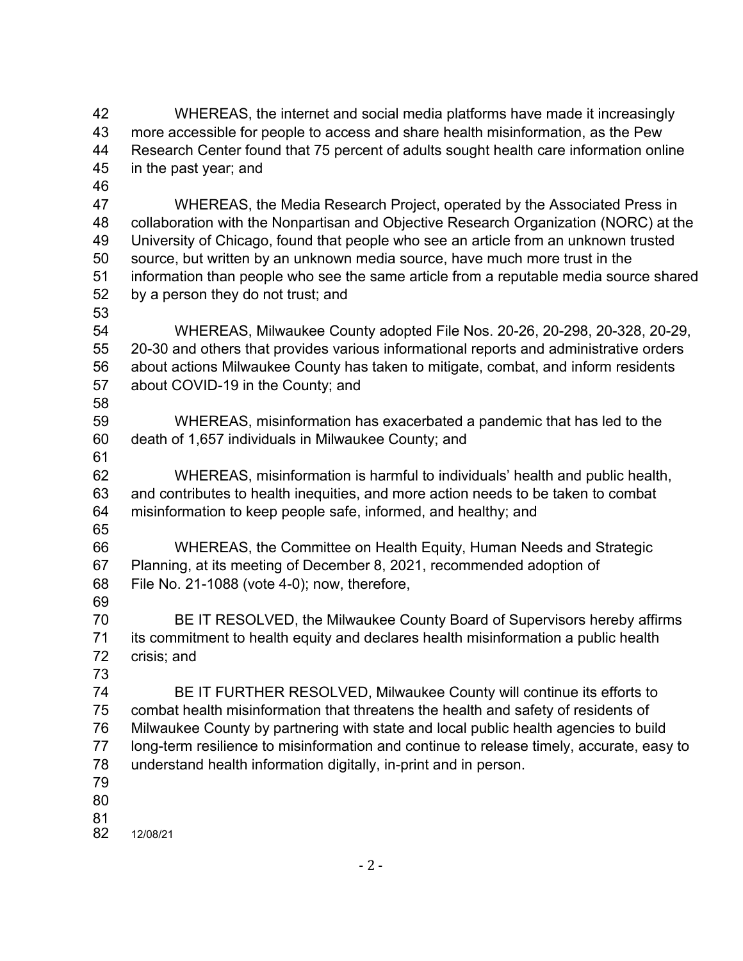WHEREAS, the internet and social media platforms have made it increasingly more accessible for people to access and share health misinformation, as the Pew Research Center found that 75 percent of adults sought health care information online in the past year; and

 WHEREAS, the Media Research Project, operated by the Associated Press in collaboration with the Nonpartisan and Objective Research Organization (NORC) at the University of Chicago, found that people who see an article from an unknown trusted source, but written by an unknown media source, have much more trust in the information than people who see the same article from a reputable media source shared by a person they do not trust; and

 WHEREAS, Milwaukee County adopted File Nos. 20-26, 20-298, 20-328, 20-29, 20-30 and others that provides various informational reports and administrative orders about actions Milwaukee County has taken to mitigate, combat, and inform residents about COVID-19 in the County; and

 WHEREAS, misinformation has exacerbated a pandemic that has led to the death of 1,657 individuals in Milwaukee County; and

 WHEREAS, misinformation is harmful to individuals' health and public health, and contributes to health inequities, and more action needs to be taken to combat misinformation to keep people safe, informed, and healthy; and

 WHEREAS, the Committee on Health Equity, Human Needs and Strategic Planning, at its meeting of December 8, 2021, recommended adoption of File No. 21-1088 (vote 4-0); now, therefore,

 BE IT RESOLVED, the Milwaukee County Board of Supervisors hereby affirms its commitment to health equity and declares health misinformation a public health crisis; and

 BE IT FURTHER RESOLVED, Milwaukee County will continue its efforts to combat health misinformation that threatens the health and safety of residents of Milwaukee County by partnering with state and local public health agencies to build long-term resilience to misinformation and continue to release timely, accurate, easy to understand health information digitally, in-print and in person.

81<br>82

12/08/21